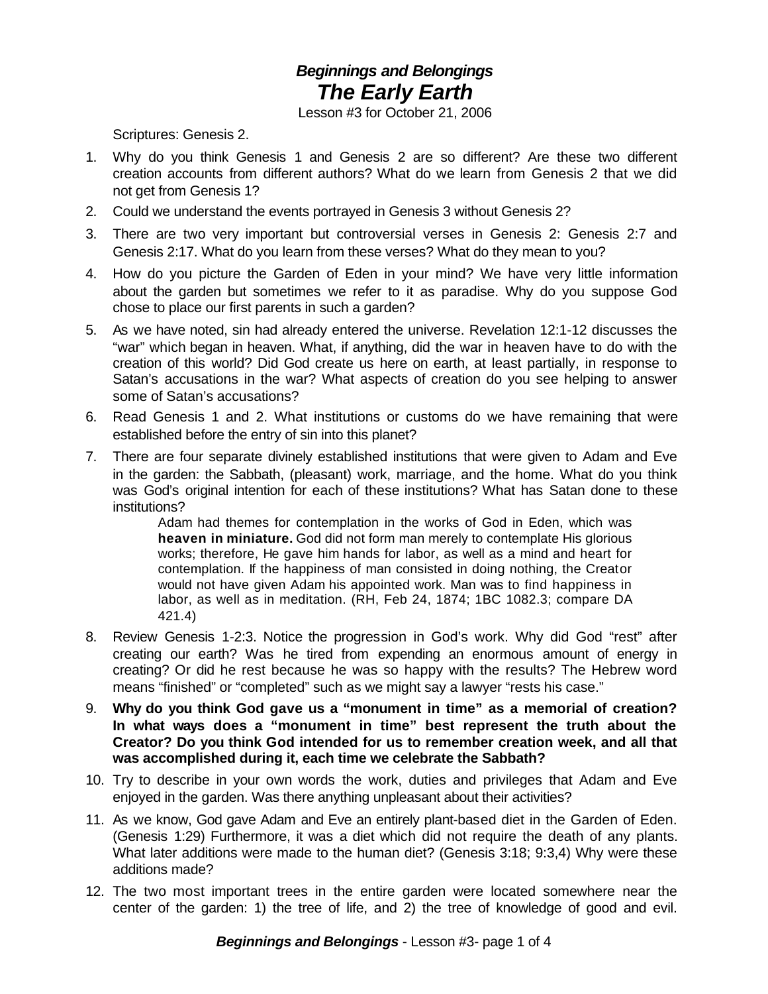## *Beginnings and Belongings The Early Earth*

Lesson #3 for October 21, 2006

Scriptures: Genesis 2.

- 1. Why do you think Genesis 1 and Genesis 2 are so different? Are these two different creation accounts from different authors? What do we learn from Genesis 2 that we did not get from Genesis 1?
- 2. Could we understand the events portrayed in Genesis 3 without Genesis 2?
- 3. There are two very important but controversial verses in Genesis 2: Genesis 2:7 and Genesis 2:17. What do you learn from these verses? What do they mean to you?
- 4. How do you picture the Garden of Eden in your mind? We have very little information about the garden but sometimes we refer to it as paradise. Why do you suppose God chose to place our first parents in such a garden?
- 5. As we have noted, sin had already entered the universe. Revelation 12:1-12 discusses the "war" which began in heaven. What, if anything, did the war in heaven have to do with the creation of this world? Did God create us here on earth, at least partially, in response to Satan's accusations in the war? What aspects of creation do you see helping to answer some of Satan's accusations?
- 6. Read Genesis 1 and 2. What institutions or customs do we have remaining that were established before the entry of sin into this planet?
- 7. There are four separate divinely established institutions that were given to Adam and Eve in the garden: the Sabbath, (pleasant) work, marriage, and the home. What do you think was God's original intention for each of these institutions? What has Satan done to these institutions?

Adam had themes for contemplation in the works of God in Eden, which was **heaven in miniature.** God did not form man merely to contemplate His glorious works; therefore, He gave him hands for labor, as well as a mind and heart for contemplation. If the happiness of man consisted in doing nothing, the Creator would not have given Adam his appointed work. Man was to find happiness in labor, as well as in meditation. (RH, Feb 24, 1874; 1BC 1082.3; compare DA 421.4)

- 8. Review Genesis 1-2:3. Notice the progression in God's work. Why did God "rest" after creating our earth? Was he tired from expending an enormous amount of energy in creating? Or did he rest because he was so happy with the results? The Hebrew word means "finished" or "completed" such as we might say a lawyer "rests his case."
- 9. **Why do you think God gave us a "monument in time" as a memorial of creation? In what ways does a "monument in time" best represent the truth about the Creator? Do you think God intended for us to remember creation week, and all that was accomplished during it, each time we celebrate the Sabbath?**
- 10. Try to describe in your own words the work, duties and privileges that Adam and Eve enjoyed in the garden. Was there anything unpleasant about their activities?
- 11. As we know, God gave Adam and Eve an entirely plant-based diet in the Garden of Eden. (Genesis 1:29) Furthermore, it was a diet which did not require the death of any plants. What later additions were made to the human diet? (Genesis 3:18; 9:3,4) Why were these additions made?
- 12. The two most important trees in the entire garden were located somewhere near the center of the garden: 1) the tree of life, and 2) the tree of knowledge of good and evil.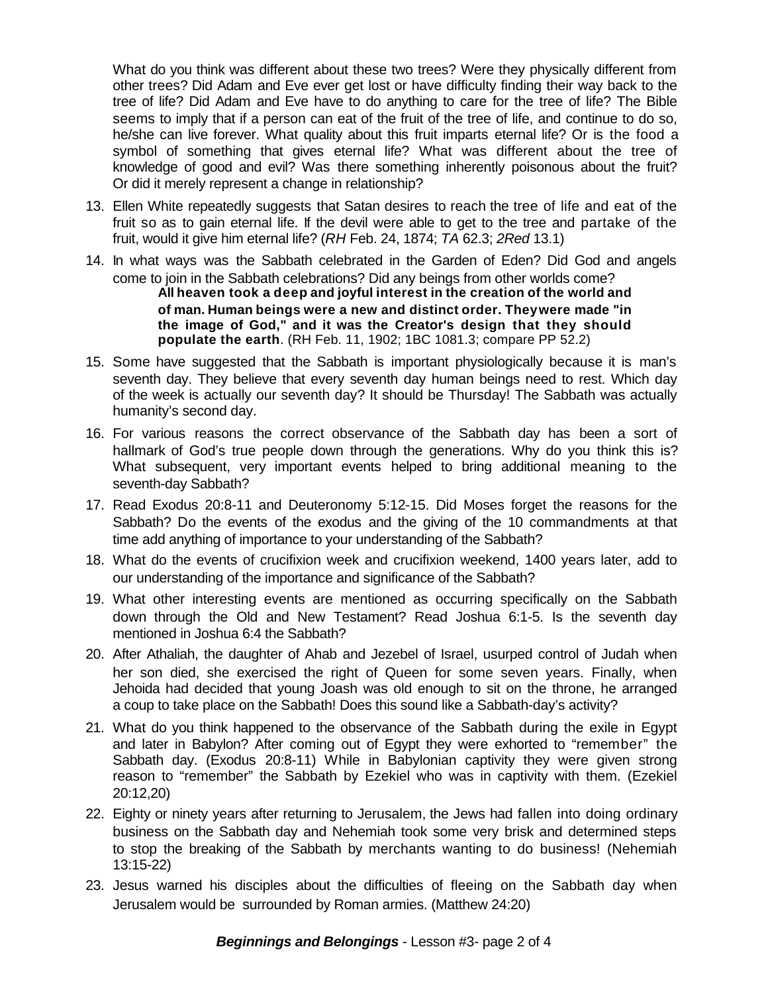What do you think was different about these two trees? Were they physically different from other trees? Did Adam and Eve ever get lost or have difficulty finding their way back to the tree of life? Did Adam and Eve have to do anything to care for the tree of life? The Bible seems to imply that if a person can eat of the fruit of the tree of life, and continue to do so, he/she can live forever. What quality about this fruit imparts eternal life? Or is the food a symbol of something that gives eternal life? What was different about the tree of knowledge of good and evil? Was there something inherently poisonous about the fruit? Or did it merely represent a change in relationship?

- 13. Ellen White repeatedly suggests that Satan desires to reach the tree of life and eat of the fruit so as to gain eternal life. If the devil were able to get to the tree and partake of the fruit, would it give him eternal life? (*RH* Feb. 24, 1874; *TA* 62.3; *2Red* 13.1)
- 14. In what ways was the Sabbath celebrated in the Garden of Eden? Did God and angels come to join in the Sabbath celebrations? Did any beings from other worlds come? **All heaven took a deep and joyful interest in the creation of the world and of man. Human beings were a new and distinct order. Theywere made "in the image of God," and it was the Creator's design that they should**

**populate the earth**. (RH Feb. 11, 1902; 1BC 1081.3; compare PP 52.2)

- 15. Some have suggested that the Sabbath is important physiologically because it is man's seventh day. They believe that every seventh day human beings need to rest. Which day of the week is actually our seventh day? It should be Thursday! The Sabbath was actually humanity's second day.
- 16. For various reasons the correct observance of the Sabbath day has been a sort of hallmark of God's true people down through the generations. Why do you think this is? What subsequent, very important events helped to bring additional meaning to the seventh-day Sabbath?
- 17. Read Exodus 20:8-11 and Deuteronomy 5:12-15. Did Moses forget the reasons for the Sabbath? Do the events of the exodus and the giving of the 10 commandments at that time add anything of importance to your understanding of the Sabbath?
- 18. What do the events of crucifixion week and crucifixion weekend, 1400 years later, add to our understanding of the importance and significance of the Sabbath?
- 19. What other interesting events are mentioned as occurring specifically on the Sabbath down through the Old and New Testament? Read Joshua 6:1-5. Is the seventh day mentioned in Joshua 6:4 the Sabbath?
- 20. After Athaliah, the daughter of Ahab and Jezebel of Israel, usurped control of Judah when her son died, she exercised the right of Queen for some seven years. Finally, when Jehoida had decided that young Joash was old enough to sit on the throne, he arranged a coup to take place on the Sabbath! Does this sound like a Sabbath-day's activity?
- 21. What do you think happened to the observance of the Sabbath during the exile in Egypt and later in Babylon? After coming out of Egypt they were exhorted to "remember" the Sabbath day. (Exodus 20:8-11) While in Babylonian captivity they were given strong reason to "remember" the Sabbath by Ezekiel who was in captivity with them. (Ezekiel 20:12,20)
- 22. Eighty or ninety years after returning to Jerusalem, the Jews had fallen into doing ordinary business on the Sabbath day and Nehemiah took some very brisk and determined steps to stop the breaking of the Sabbath by merchants wanting to do business! (Nehemiah 13:15-22)
- 23. Jesus warned his disciples about the difficulties of fleeing on the Sabbath day when Jerusalem would be surrounded by Roman armies. (Matthew 24:20)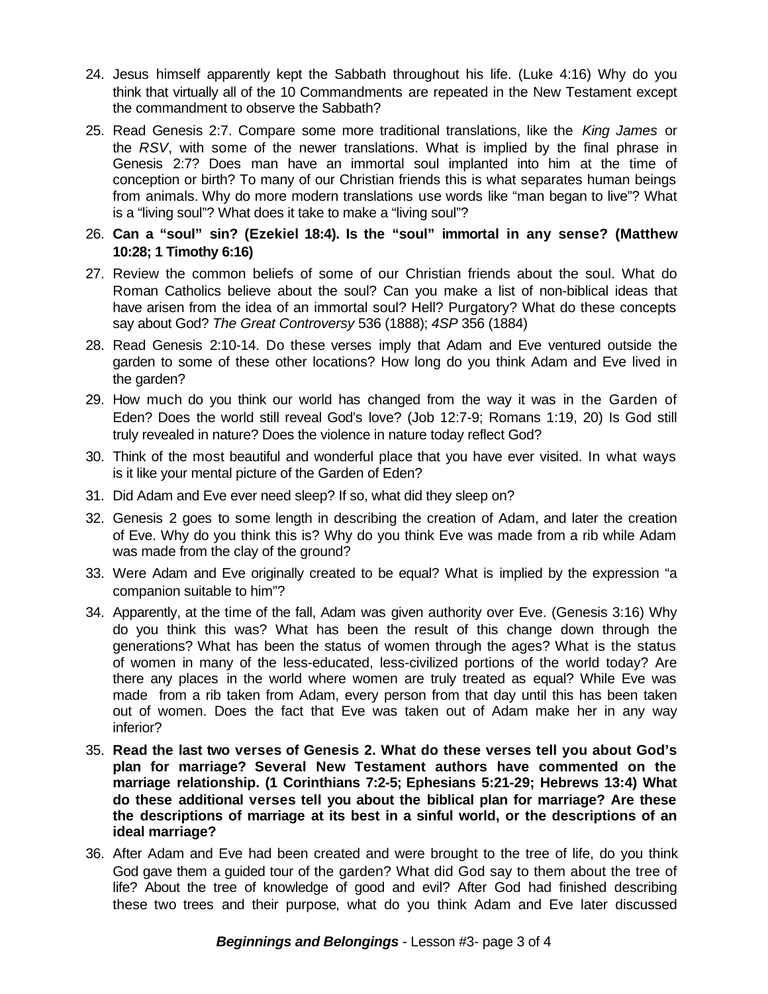- 24. Jesus himself apparently kept the Sabbath throughout his life. (Luke 4:16) Why do you think that virtually all of the 10 Commandments are repeated in the New Testament except the commandment to observe the Sabbath?
- 25. Read Genesis 2:7. Compare some more traditional translations, like the *King James* or the *RSV*, with some of the newer translations. What is implied by the final phrase in Genesis 2:7? Does man have an immortal soul implanted into him at the time of conception or birth? To many of our Christian friends this is what separates human beings from animals. Why do more modern translations use words like "man began to live"? What is a "living soul"? What does it take to make a "living soul"?
- 26. **Can a "soul" sin? (Ezekiel 18:4). Is the "soul" immortal in any sense? (Matthew 10:28; 1 Timothy 6:16)**
- 27. Review the common beliefs of some of our Christian friends about the soul. What do Roman Catholics believe about the soul? Can you make a list of non-biblical ideas that have arisen from the idea of an immortal soul? Hell? Purgatory? What do these concepts say about God? *The Great Controversy* 536 (1888); *4SP* 356 (1884)
- 28. Read Genesis 2:10-14. Do these verses imply that Adam and Eve ventured outside the garden to some of these other locations? How long do you think Adam and Eve lived in the garden?
- 29. How much do you think our world has changed from the way it was in the Garden of Eden? Does the world still reveal God's love? (Job 12:7-9; Romans 1:19, 20) Is God still truly revealed in nature? Does the violence in nature today reflect God?
- 30. Think of the most beautiful and wonderful place that you have ever visited. In what ways is it like your mental picture of the Garden of Eden?
- 31. Did Adam and Eve ever need sleep? If so, what did they sleep on?
- 32. Genesis 2 goes to some length in describing the creation of Adam, and later the creation of Eve. Why do you think this is? Why do you think Eve was made from a rib while Adam was made from the clay of the ground?
- 33. Were Adam and Eve originally created to be equal? What is implied by the expression "a companion suitable to him"?
- 34. Apparently, at the time of the fall, Adam was given authority over Eve. (Genesis 3:16) Why do you think this was? What has been the result of this change down through the generations? What has been the status of women through the ages? What is the status of women in many of the less-educated, less-civilized portions of the world today? Are there any places in the world where women are truly treated as equal? While Eve was made from a rib taken from Adam, every person from that day until this has been taken out of women. Does the fact that Eve was taken out of Adam make her in any way inferior?
- 35. **Read the last two verses of Genesis 2. What do these verses tell you about God's plan for marriage? Several New Testament authors have commented on the marriage relationship. (1 Corinthians 7:2-5; Ephesians 5:21-29; Hebrews 13:4) What do these additional verses tell you about the biblical plan for marriage? Are these the descriptions of marriage at its best in a sinful world, or the descriptions of an ideal marriage?**
- 36. After Adam and Eve had been created and were brought to the tree of life, do you think God gave them a guided tour of the garden? What did God say to them about the tree of life? About the tree of knowledge of good and evil? After God had finished describing these two trees and their purpose, what do you think Adam and Eve later discussed